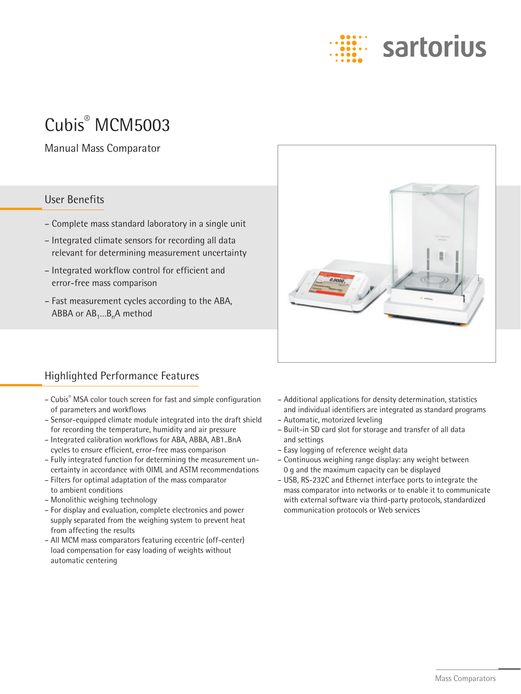# sartorius

## Cubis® MCM5003

Manual Mass Comparator

#### User Benefits

- Complete mass standard laboratory in a single unit
- Integrated climate sensors for recording all data relevant for determining measurement uncertainty
- Integrated workflow control for efficient and error-free mass comparison
- Fast measurement cycles according to the ABA, ABBA or  $AB_1...B_n$ A method



#### Highlighted Performance Features

- Cubis® MSA color touch screen for fast and simple configuration of parameters and workflows
- Sensor-equipped climate module integrated into the draft shield for recording the temperature, humidity and air pressure
- Integrated calibration workflows for ABA, ABBA, AB1..BnA cycles to ensure efficient, error-free mass comparison
- Fully integrated function for determining the measurement uncertainty in accordance with OIML and ASTM recommendations
- Filters for optimal adaptation of the mass comparator to ambient conditions
- Monolithic weighing technology
- For display and evaluation, complete electronics and power supply separated from the weighing system to prevent heat from affecting the results
- All MCM mass comparators featuring eccentric (off-center) load compensation for easy loading of weights without automatic centering
- Additional applications for density determination, statistics and individual identifiers are integrated as standard programs
- Automatic, motorized leveling
- Built-in SD card slot for storage and transfer of all data and settings
- Easy logging of reference weight data
- Continuous weighing range display: any weight between 0 g and the maximum capacity can be displayed
- USB, RS-232C and Ethernet interface ports to integrate the mass comparator into networks or to enable it to communicate with external software via third-party protocols, standardized communication protocols or Web services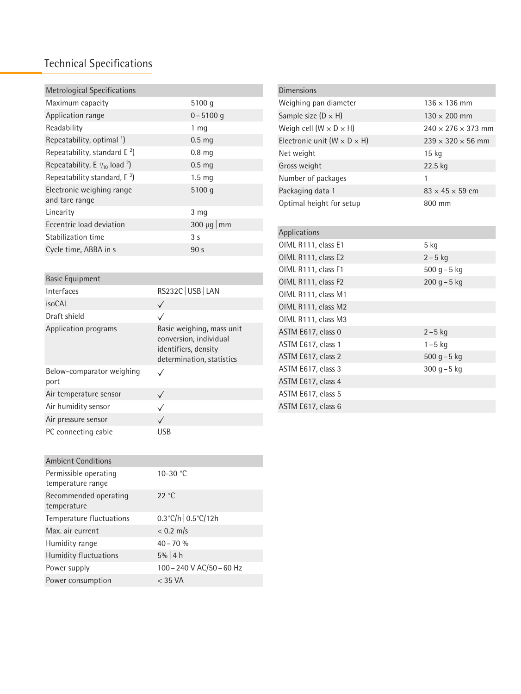### Technical Specifications

| <b>Metrological Specifications</b>                  |                            |
|-----------------------------------------------------|----------------------------|
| Maximum capacity                                    | 5100 q                     |
| Application range                                   | $0 - 5100$ q               |
| Readability                                         | 1 mg                       |
| Repeatability, optimal <sup>1</sup> )               | 0.5 <sub>mg</sub>          |
| Repeatability, standard $E^2$ )                     | 0.8 <sub>mg</sub>          |
| Repeatability, E $\frac{1}{10}$ load <sup>2</sup> ) | 0.5 <sub>mg</sub>          |
| Repeatability standard, $F^3$ )                     | 1.5 <sub>mq</sub>          |
| Electronic weighing range<br>and tare range         | 5100 q                     |
| Linearity                                           | 3 <sub>mg</sub>            |
| Eccentric load deviation                            | $300 \mu q \mid \text{mm}$ |
| Stabilization time                                  | 3 <sub>s</sub>             |
| Cycle time, ABBA in s                               | 90 <sub>s</sub>            |
|                                                     |                            |

| <b>Basic Equipment</b>            |                                                                                                          |
|-----------------------------------|----------------------------------------------------------------------------------------------------------|
| Interfaces                        | RS232C USB   LAN                                                                                         |
| <i>isoCAL</i>                     |                                                                                                          |
| Draft shield                      |                                                                                                          |
| Application programs              | Basic weighing, mass unit<br>conversion, individual<br>identifiers, density<br>determination, statistics |
| Below-comparator weighing<br>port |                                                                                                          |
| Air temperature sensor            |                                                                                                          |
| Air humidity sensor               |                                                                                                          |
| Air pressure sensor               |                                                                                                          |
| PC connecting cable               | USB                                                                                                      |

| <b>Ambient Conditions</b>                  |                                       |
|--------------------------------------------|---------------------------------------|
| Permissible operating<br>temperature range | 10-30 $°C$                            |
| Recommended operating<br>temperature       | 22 °C                                 |
| Temperature fluctuations                   | $0.3^{\circ}$ C/h $0.5^{\circ}$ C/12h |
| Max. air current                           | $< 0.2$ m/s                           |
| Humidity range                             | $40 - 70 %$                           |
| Humidity fluctuations                      | $5\%$ 4 h                             |
| Power supply                               | 100-240 V AC/50-60 Hz                 |
| Power consumption                          | $<$ 35 VA                             |

| <b>Dimensions</b>                         |                                |
|-------------------------------------------|--------------------------------|
| Weighing pan diameter                     | $136 \times 136$ mm            |
| Sample size $(D \times H)$                | $130 \times 200$ mm            |
| Weigh cell $(W \times D \times H)$        | $240 \times 276 \times 373$ mm |
| Electronic unit ( $W \times D \times H$ ) | $239 \times 320 \times 56$ mm  |
| Net weight                                | 15 kg                          |
| Gross weight                              | 22.5 kg                        |
| Number of packages                        | 1                              |
| Packaging data 1                          | $83 \times 45 \times 59$ cm    |
| Optimal height for setup                  | 800 mm                         |
|                                           |                                |
| Applications                              |                                |
| OIML R111, class E1                       | 5 kg                           |
| OIML R111, class E2                       | $2 - 5$ kg                     |
| OIML R111, class F1                       | $500 g - 5 kg$                 |
| OIML R111, class F2                       | $200$ g $-5$ kg                |
| OIML R111, class M1                       |                                |
| OIML R111, class M2                       |                                |
| OIML R111, class M3                       |                                |
| ASTM E617, class 0                        | $2 - 5$ kg                     |
| ASTM E617, class 1                        | $1 - 5$ kg                     |
| ASTM E617, class 2                        | $500$ g $-5$ kg                |
| ASTM E617, class 3                        | $300 g - 5 kg$                 |
| ASTM E617, class 4                        |                                |
| ASTM E617, class 5                        |                                |
| ASTM E617, class 6                        |                                |
|                                           |                                |